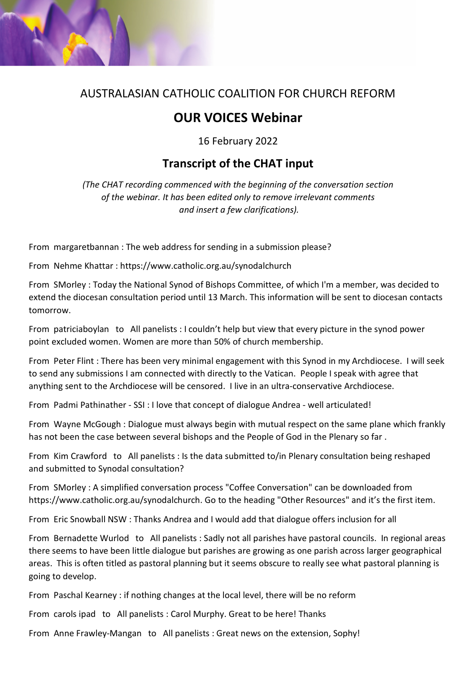

## AUSTRALASIAN CATHOLIC COALITION FOR CHURCH REFORM

## **OUR VOICES Webinar**

16 February 2022

## **Transcript of the CHAT input**

*(The CHAT recording commenced with the beginning of the conversation section of the webinar. It has been edited only to remove irrelevant comments and insert a few clarifications).*

From margaretbannan : The web address for sending in a submission please?

From Nehme Khattar : https://www.catholic.org.au/synodalchurch

From SMorley : Today the National Synod of Bishops Committee, of which I'm a member, was decided to extend the diocesan consultation period until 13 March. This information will be sent to diocesan contacts tomorrow.

From patriciaboylan to All panelists : I couldn't help but view that every picture in the synod power point excluded women. Women are more than 50% of church membership.

From Peter Flint : There has been very minimal engagement with this Synod in my Archdiocese. I will seek to send any submissions I am connected with directly to the Vatican. People I speak with agree that anything sent to the Archdiocese will be censored. I live in an ultra-conservative Archdiocese.

From Padmi Pathinather - SSI : I love that concept of dialogue Andrea - well articulated!

From Wayne McGough : Dialogue must always begin with mutual respect on the same plane which frankly has not been the case between several bishops and the People of God in the Plenary so far .

From Kim Crawford to All panelists : Is the data submitted to/in Plenary consultation being reshaped and submitted to Synodal consultation?

From SMorley : A simplified conversation process "Coffee Conversation" can be downloaded from https://www.catholic.org.au/synodalchurch. Go to the heading "Other Resources" and it's the first item.

From Eric Snowball NSW : Thanks Andrea and I would add that dialogue offers inclusion for all

From Bernadette Wurlod to All panelists : Sadly not all parishes have pastoral councils. In regional areas there seems to have been little dialogue but parishes are growing as one parish across larger geographical areas. This is often titled as pastoral planning but it seems obscure to really see what pastoral planning is going to develop.

From Paschal Kearney : if nothing changes at the local level, there will be no reform

From carols ipad to All panelists : Carol Murphy. Great to be here! Thanks

From Anne Frawley-Mangan to All panelists : Great news on the extension, Sophy!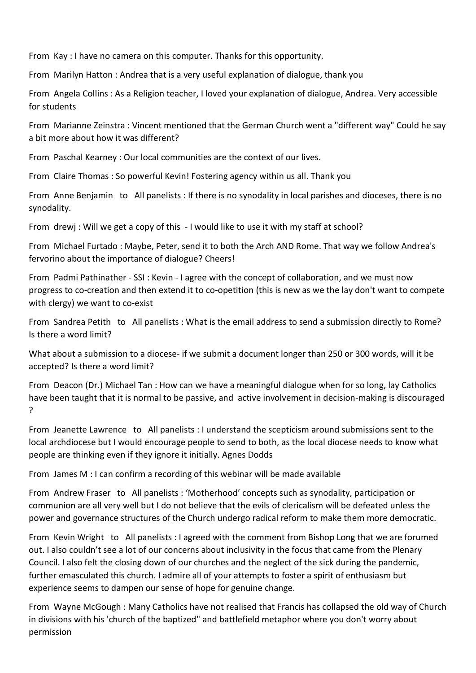From Kay : I have no camera on this computer. Thanks for this opportunity.

From Marilyn Hatton : Andrea that is a very useful explanation of dialogue, thank you

From Angela Collins : As a Religion teacher, I loved your explanation of dialogue, Andrea. Very accessible for students

From Marianne Zeinstra : Vincent mentioned that the German Church went a "different way" Could he say a bit more about how it was different?

From Paschal Kearney : Our local communities are the context of our lives.

From Claire Thomas : So powerful Kevin! Fostering agency within us all. Thank you

From Anne Benjamin to All panelists : If there is no synodality in local parishes and dioceses, there is no synodality.

From drewj : Will we get a copy of this - I would like to use it with my staff at school?

From Michael Furtado : Maybe, Peter, send it to both the Arch AND Rome. That way we follow Andrea's fervorino about the importance of dialogue? Cheers!

From Padmi Pathinather - SSI : Kevin - I agree with the concept of collaboration, and we must now progress to co-creation and then extend it to co-opetition (this is new as we the lay don't want to compete with clergy) we want to co-exist

From Sandrea Petith to All panelists : What is the email address to send a submission directly to Rome? Is there a word limit?

What about a submission to a diocese- if we submit a document longer than 250 or 300 words, will it be accepted? Is there a word limit?

From Deacon (Dr.) Michael Tan : How can we have a meaningful dialogue when for so long, lay Catholics have been taught that it is normal to be passive, and active involvement in decision-making is discouraged ?

From Jeanette Lawrence to All panelists : I understand the scepticism around submissions sent to the local archdiocese but I would encourage people to send to both, as the local diocese needs to know what people are thinking even if they ignore it initially. Agnes Dodds

From James M : I can confirm a recording of this webinar will be made available

From Andrew Fraser to All panelists : 'Motherhood' concepts such as synodality, participation or communion are all very well but I do not believe that the evils of clericalism will be defeated unless the power and governance structures of the Church undergo radical reform to make them more democratic.

From Kevin Wright to All panelists : I agreed with the comment from Bishop Long that we are forumed out. I also couldn't see a lot of our concerns about inclusivity in the focus that came from the Plenary Council. I also felt the closing down of our churches and the neglect of the sick during the pandemic, further emasculated this church. I admire all of your attempts to foster a spirit of enthusiasm but experience seems to dampen our sense of hope for genuine change.

From Wayne McGough : Many Catholics have not realised that Francis has collapsed the old way of Church in divisions with his 'church of the baptized" and battlefield metaphor where you don't worry about permission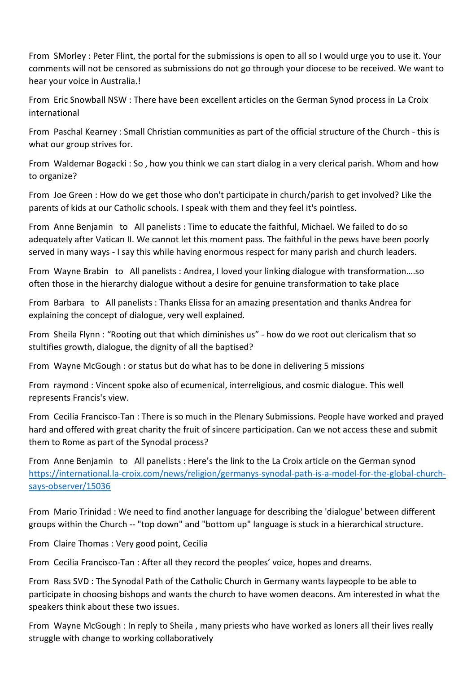From SMorley : Peter Flint, the portal for the submissions is open to all so I would urge you to use it. Your comments will not be censored as submissions do not go through your diocese to be received. We want to hear your voice in Australia.!

From Eric Snowball NSW : There have been excellent articles on the German Synod process in La Croix international

From Paschal Kearney : Small Christian communities as part of the official structure of the Church - this is what our group strives for.

From Waldemar Bogacki : So , how you think we can start dialog in a very clerical parish. Whom and how to organize?

From Joe Green : How do we get those who don't participate in church/parish to get involved? Like the parents of kids at our Catholic schools. I speak with them and they feel it's pointless.

From Anne Benjamin to All panelists : Time to educate the faithful, Michael. We failed to do so adequately after Vatican II. We cannot let this moment pass. The faithful in the pews have been poorly served in many ways - I say this while having enormous respect for many parish and church leaders.

From Wayne Brabin to All panelists : Andrea, I loved your linking dialogue with transformation….so often those in the hierarchy dialogue without a desire for genuine transformation to take place

From Barbara to All panelists : Thanks Elissa for an amazing presentation and thanks Andrea for explaining the concept of dialogue, very well explained.

From Sheila Flynn : "Rooting out that which diminishes us" - how do we root out clericalism that so stultifies growth, dialogue, the dignity of all the baptised?

From Wayne McGough : or status but do what has to be done in delivering 5 missions

From raymond : Vincent spoke also of ecumenical, interreligious, and cosmic dialogue. This well represents Francis's view.

From Cecilia Francisco-Tan : There is so much in the Plenary Submissions. People have worked and prayed hard and offered with great charity the fruit of sincere participation. Can we not access these and submit them to Rome as part of the Synodal process?

From Anne Benjamin to All panelists : Here's the link to the La Croix article on the German synod [https://international.la-croix.com/news/religion/germanys-synodal-path-is-a-model-for-the-global-church](https://international.la-croix.com/news/religion/germanys-synodal-path-is-a-model-for-the-global-church-says-observer/15036)[says-observer/15036](https://international.la-croix.com/news/religion/germanys-synodal-path-is-a-model-for-the-global-church-says-observer/15036)

From Mario Trinidad : We need to find another language for describing the 'dialogue' between different groups within the Church -- "top down" and "bottom up" language is stuck in a hierarchical structure.

From Claire Thomas : Very good point, Cecilia

From Cecilia Francisco-Tan : After all they record the peoples' voice, hopes and dreams.

From Rass SVD : The Synodal Path of the Catholic Church in Germany wants laypeople to be able to participate in choosing bishops and wants the church to have women deacons. Am interested in what the speakers think about these two issues.

From Wayne McGough : In reply to Sheila , many priests who have worked as loners all their lives really struggle with change to working collaboratively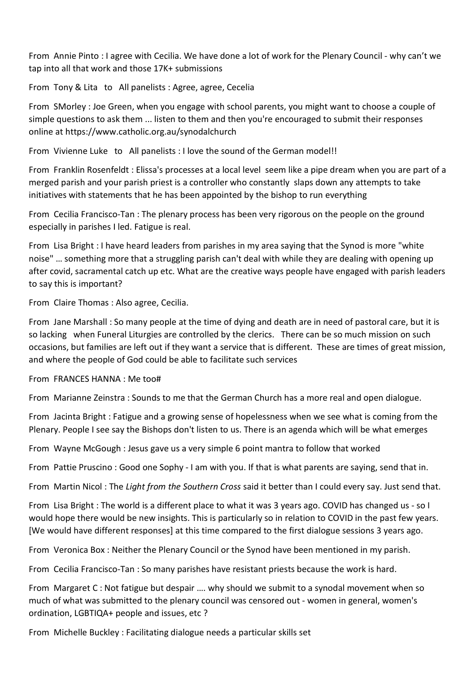From Annie Pinto : I agree with Cecilia. We have done a lot of work for the Plenary Council - why can't we tap into all that work and those 17K+ submissions

From Tony & Lita to All panelists : Agree, agree, Cecelia

From SMorley : Joe Green, when you engage with school parents, you might want to choose a couple of simple questions to ask them ... listen to them and then you're encouraged to submit their responses online at https://www.catholic.org.au/synodalchurch

From Vivienne Luke to All panelists : I love the sound of the German model!!

From Franklin Rosenfeldt : Elissa's processes at a local level seem like a pipe dream when you are part of a merged parish and your parish priest is a controller who constantly slaps down any attempts to take initiatives with statements that he has been appointed by the bishop to run everything

From Cecilia Francisco-Tan : The plenary process has been very rigorous on the people on the ground especially in parishes I led. Fatigue is real.

From Lisa Bright : I have heard leaders from parishes in my area saying that the Synod is more "white noise" … something more that a struggling parish can't deal with while they are dealing with opening up after covid, sacramental catch up etc. What are the creative ways people have engaged with parish leaders to say this is important?

From Claire Thomas : Also agree, Cecilia.

From Jane Marshall : So many people at the time of dying and death are in need of pastoral care, but it is so lacking when Funeral Liturgies are controlled by the clerics. There can be so much mission on such occasions, but families are left out if they want a service that is different. These are times of great mission, and where the people of God could be able to facilitate such services

From FRANCES HANNA : Me too#

From Marianne Zeinstra : Sounds to me that the German Church has a more real and open dialogue.

From Jacinta Bright : Fatigue and a growing sense of hopelessness when we see what is coming from the Plenary. People I see say the Bishops don't listen to us. There is an agenda which will be what emerges

From Wayne McGough : Jesus gave us a very simple 6 point mantra to follow that worked

From Pattie Pruscino : Good one Sophy - I am with you. If that is what parents are saying, send that in.

From Martin Nicol : The *Light from the Southern Cross* said it better than I could every say. Just send that.

From Lisa Bright : The world is a different place to what it was 3 years ago. COVID has changed us - so I would hope there would be new insights. This is particularly so in relation to COVID in the past few years. [We would have different responses] at this time compared to the first dialogue sessions 3 years ago.

From Veronica Box : Neither the Plenary Council or the Synod have been mentioned in my parish.

From Cecilia Francisco-Tan : So many parishes have resistant priests because the work is hard.

From Margaret C : Not fatigue but despair …. why should we submit to a synodal movement when so much of what was submitted to the plenary council was censored out - women in general, women's ordination, LGBTIQA+ people and issues, etc ?

From Michelle Buckley : Facilitating dialogue needs a particular skills set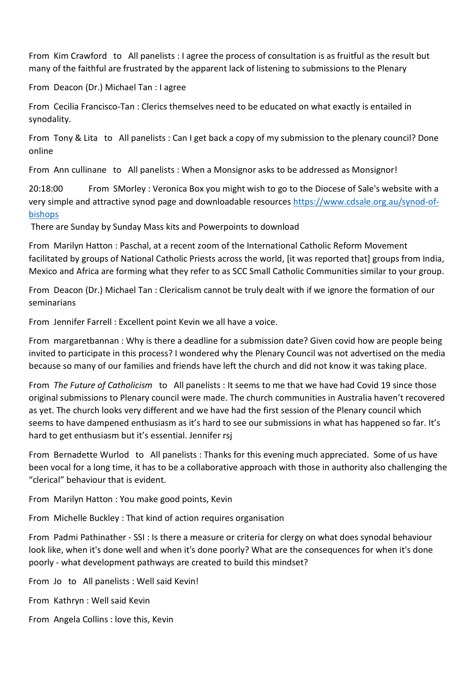From Kim Crawford to All panelists : I agree the process of consultation is as fruitful as the result but many of the faithful are frustrated by the apparent lack of listening to submissions to the Plenary

From Deacon (Dr.) Michael Tan : I agree

From Cecilia Francisco-Tan : Clerics themselves need to be educated on what exactly is entailed in synodality.

From Tony & Lita to All panelists : Can I get back a copy of my submission to the plenary council? Done online

From Ann cullinane to All panelists : When a Monsignor asks to be addressed as Monsignor!

20:18:00 From SMorley : Veronica Box you might wish to go to the Diocese of Sale's website with a very simple and attractive synod page and downloadable resource[s https://www.cdsale.org.au/synod-of](https://www.cdsale.org.au/synod-of-bishops)[bishops](https://www.cdsale.org.au/synod-of-bishops)

There are Sunday by Sunday Mass kits and Powerpoints to download

From Marilyn Hatton : Paschal, at a recent zoom of the International Catholic Reform Movement facilitated by groups of National Catholic Priests across the world, [it was reported that] groups from India, Mexico and Africa are forming what they refer to as SCC Small Catholic Communities similar to your group.

From Deacon (Dr.) Michael Tan : Clericalism cannot be truly dealt with if we ignore the formation of our seminarians

From Jennifer Farrell : Excellent point Kevin we all have a voice.

From margaretbannan : Why is there a deadline for a submission date? Given covid how are people being invited to participate in this process? I wondered why the Plenary Council was not advertised on the media because so many of our families and friends have left the church and did not know it was taking place.

From *The Future of Catholicism* to All panelists : It seems to me that we have had Covid 19 since those original submissions to Plenary council were made. The church communities in Australia haven't recovered as yet. The church looks very different and we have had the first session of the Plenary council which seems to have dampened enthusiasm as it's hard to see our submissions in what has happened so far. It's hard to get enthusiasm but it's essential. Jennifer rsj

From Bernadette Wurlod to All panelists : Thanks for this evening much appreciated. Some of us have been vocal for a long time, it has to be a collaborative approach with those in authority also challenging the "clerical" behaviour that is evident.

From Marilyn Hatton : You make good points, Kevin

From Michelle Buckley : That kind of action requires organisation

From Padmi Pathinather - SSI : Is there a measure or criteria for clergy on what does synodal behaviour look like, when it's done well and when it's done poorly? What are the consequences for when it's done poorly - what development pathways are created to build this mindset?

From Jo to All panelists : Well said Kevin!

From Kathryn : Well said Kevin

From Angela Collins : love this, Kevin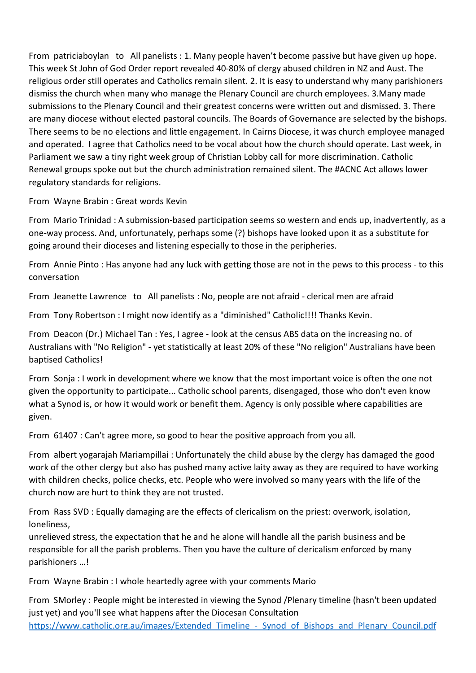From patriciaboylan to All panelists : 1. Many people haven't become passive but have given up hope. This week St John of God Order report revealed 40-80% of clergy abused children in NZ and Aust. The religious order still operates and Catholics remain silent. 2. It is easy to understand why many parishioners dismiss the church when many who manage the Plenary Council are church employees. 3.Many made submissions to the Plenary Council and their greatest concerns were written out and dismissed. 3. There are many diocese without elected pastoral councils. The Boards of Governance are selected by the bishops. There seems to be no elections and little engagement. In Cairns Diocese, it was church employee managed and operated. I agree that Catholics need to be vocal about how the church should operate. Last week, in Parliament we saw a tiny right week group of Christian Lobby call for more discrimination. Catholic Renewal groups spoke out but the church administration remained silent. The #ACNC Act allows lower regulatory standards for religions.

From Wayne Brabin : Great words Kevin

From Mario Trinidad : A submission-based participation seems so western and ends up, inadvertently, as a one-way process. And, unfortunately, perhaps some (?) bishops have looked upon it as a substitute for going around their dioceses and listening especially to those in the peripheries.

From Annie Pinto : Has anyone had any luck with getting those are not in the pews to this process - to this conversation

From Jeanette Lawrence to All panelists : No, people are not afraid - clerical men are afraid

From Tony Robertson : I might now identify as a "diminished" Catholic!!!! Thanks Kevin.

From Deacon (Dr.) Michael Tan : Yes, I agree - look at the census ABS data on the increasing no. of Australians with "No Religion" - yet statistically at least 20% of these "No religion" Australians have been baptised Catholics!

From Sonja : I work in development where we know that the most important voice is often the one not given the opportunity to participate... Catholic school parents, disengaged, those who don't even know what a Synod is, or how it would work or benefit them. Agency is only possible where capabilities are given.

From 61407 : Can't agree more, so good to hear the positive approach from you all.

From albert yogarajah Mariampillai : Unfortunately the child abuse by the clergy has damaged the good work of the other clergy but also has pushed many active laity away as they are required to have working with children checks, police checks, etc. People who were involved so many years with the life of the church now are hurt to think they are not trusted.

From Rass SVD : Equally damaging are the effects of clericalism on the priest: overwork, isolation, loneliness,

unrelieved stress, the expectation that he and he alone will handle all the parish business and be responsible for all the parish problems. Then you have the culture of clericalism enforced by many parishioners …!

From Wayne Brabin : I whole heartedly agree with your comments Mario

From SMorley : People might be interested in viewing the Synod /Plenary timeline (hasn't been updated just yet) and you'll see what happens after the Diocesan Consultation https://www.catholic.org.au/images/Extended\_Timeline - Synod of Bishops and Plenary Council.pdf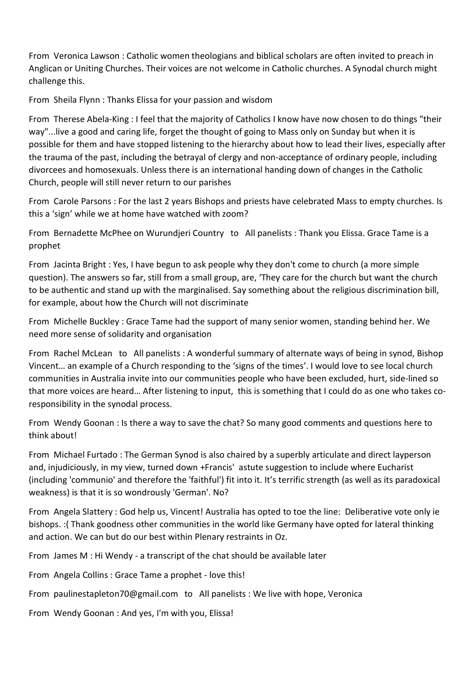From Veronica Lawson : Catholic women theologians and biblical scholars are often invited to preach in Anglican or Uniting Churches. Their voices are not welcome in Catholic churches. A Synodal church might challenge this.

From Sheila Flynn : Thanks Elissa for your passion and wisdom

From Therese Abela-King : I feel that the majority of Catholics I know have now chosen to do things "their way"...live a good and caring life, forget the thought of going to Mass only on Sunday but when it is possible for them and have stopped listening to the hierarchy about how to lead their lives, especially after the trauma of the past, including the betrayal of clergy and non-acceptance of ordinary people, including divorcees and homosexuals. Unless there is an international handing down of changes in the Catholic Church, people will still never return to our parishes

From Carole Parsons : For the last 2 years Bishops and priests have celebrated Mass to empty churches. Is this a 'sign' while we at home have watched with zoom?

From Bernadette McPhee on Wurundjeri Country to All panelists : Thank you Elissa. Grace Tame is a prophet

From Jacinta Bright : Yes, I have begun to ask people why they don't come to church (a more simple question). The answers so far, still from a small group, are, 'They care for the church but want the church to be authentic and stand up with the marginalised. Say something about the religious discrimination bill, for example, about how the Church will not discriminate

From Michelle Buckley : Grace Tame had the support of many senior women, standing behind her. We need more sense of solidarity and organisation

From Rachel McLean to All panelists : A wonderful summary of alternate ways of being in synod, Bishop Vincent… an example of a Church responding to the 'signs of the times'. I would love to see local church communities in Australia invite into our communities people who have been excluded, hurt, side-lined so that more voices are heard… After listening to input, this is something that I could do as one who takes coresponsibility in the synodal process.

From Wendy Goonan : Is there a way to save the chat? So many good comments and questions here to think about!

From Michael Furtado : The German Synod is also chaired by a superbly articulate and direct layperson and, injudiciously, in my view, turned down +Francis' astute suggestion to include where Eucharist (including 'communio' and therefore the 'faithful') fit into it. It's terrific strength (as well as its paradoxical weakness) is that it is so wondrously 'German'. No?

From Angela Slattery : God help us, Vincent! Australia has opted to toe the line: Deliberative vote only ie bishops. :( Thank goodness other communities in the world like Germany have opted for lateral thinking and action. We can but do our best within Plenary restraints in Oz.

From James M : Hi Wendy - a transcript of the chat should be available later

From Angela Collins : Grace Tame a prophet - love this!

- From paulinestapleton70@gmail.com to All panelists : We live with hope, Veronica
- From Wendy Goonan : And yes, I'm with you, Elissa!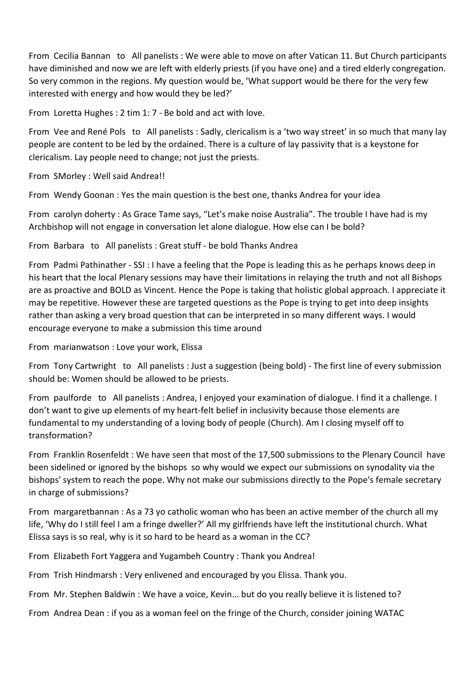From Cecilia Bannan to All panelists : We were able to move on after Vatican 11. But Church participants have diminished and now we are left with elderly priests (if you have one) and a tired elderly congregation. So very common in the regions. My question would be, 'What support would be there for the very few interested with energy and how would they be led?'

From Loretta Hughes : 2 tim 1: 7 - Be bold and act with love.

From Vee and René Pols to All panelists : Sadly, clericalism is a 'two way street' in so much that many lay people are content to be led by the ordained. There is a culture of lay passivity that is a keystone for clericalism. Lay people need to change; not just the priests.

From SMorley : Well said Andrea!!

From Wendy Goonan : Yes the main question is the best one, thanks Andrea for your idea

From carolyn doherty : As Grace Tame says, "Let's make noise Australia". The trouble I have had is my Archbishop will not engage in conversation let alone dialogue. How else can I be bold?

From Barbara to All panelists : Great stuff - be bold Thanks Andrea

From Padmi Pathinather - SSI : I have a feeling that the Pope is leading this as he perhaps knows deep in his heart that the local Plenary sessions may have their limitations in relaying the truth and not all Bishops are as proactive and BOLD as Vincent. Hence the Pope is taking that holistic global approach. I appreciate it may be repetitive. However these are targeted questions as the Pope is trying to get into deep insights rather than asking a very broad question that can be interpreted in so many different ways. I would encourage everyone to make a submission this time around

From marianwatson : Love your work, Elissa

From Tony Cartwright to All panelists : Just a suggestion (being bold) - The first line of every submission should be: Women should be allowed to be priests.

From paulforde to All panelists : Andrea, I enjoyed your examination of dialogue. I find it a challenge. I don't want to give up elements of my heart-felt belief in inclusivity because those elements are fundamental to my understanding of a loving body of people (Church). Am I closing myself off to transformation?

From Franklin Rosenfeldt : We have seen that most of the 17,500 submissions to the Plenary Council have been sidelined or ignored by the bishops so why would we expect our submissions on synodality via the bishops' system to reach the pope. Why not make our submissions directly to the Pope's female secretary in charge of submissions?

From margaretbannan : As a 73 yo catholic woman who has been an active member of the church all my life, 'Why do I still feel I am a fringe dweller?' All my girlfriends have left the institutional church. What Elissa says is so real, why is it so hard to be heard as a woman in the CC?

From Elizabeth Fort Yaggera and Yugambeh Country : Thank you Andrea!

From Trish Hindmarsh : Very enlivened and encouraged by you Elissa. Thank you.

From Mr. Stephen Baldwin : We have a voice, Kevin... but do you really believe it is listened to?

From Andrea Dean : if you as a woman feel on the fringe of the Church, consider joining WATAC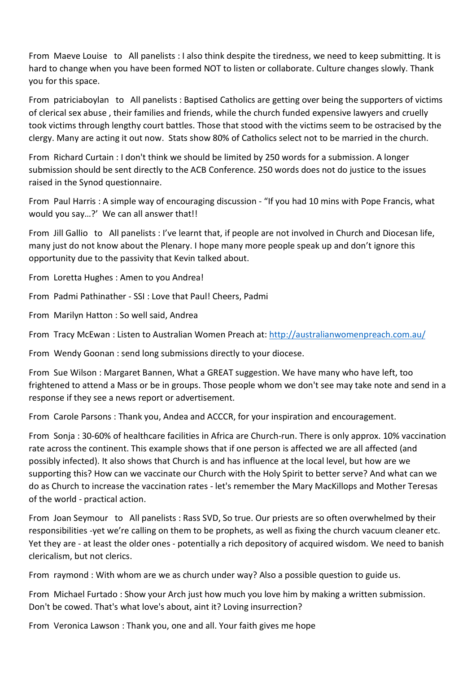From Maeve Louise to All panelists : I also think despite the tiredness, we need to keep submitting. It is hard to change when you have been formed NOT to listen or collaborate. Culture changes slowly. Thank you for this space.

From patriciaboylan to All panelists : Baptised Catholics are getting over being the supporters of victims of clerical sex abuse , their families and friends, while the church funded expensive lawyers and cruelly took victims through lengthy court battles. Those that stood with the victims seem to be ostracised by the clergy. Many are acting it out now. Stats show 80% of Catholics select not to be married in the church.

From Richard Curtain : I don't think we should be limited by 250 words for a submission. A longer submission should be sent directly to the ACB Conference. 250 words does not do justice to the issues raised in the Synod questionnaire.

From Paul Harris : A simple way of encouraging discussion - "If you had 10 mins with Pope Francis, what would you say...?' We can all answer that!!

From Jill Gallio to All panelists : I've learnt that, if people are not involved in Church and Diocesan life, many just do not know about the Plenary. I hope many more people speak up and don't ignore this opportunity due to the passivity that Kevin talked about.

From Loretta Hughes : Amen to you Andrea!

From Padmi Pathinather - SSI : Love that Paul! Cheers, Padmi

From Marilyn Hatton : So well said, Andrea

From Tracy McEwan : Listen to Australian Women Preach at[: http://australianwomenpreach.com.au/](http://australianwomenpreach.com.au/)

From Wendy Goonan : send long submissions directly to your diocese.

From Sue Wilson : Margaret Bannen, What a GREAT suggestion. We have many who have left, too frightened to attend a Mass or be in groups. Those people whom we don't see may take note and send in a response if they see a news report or advertisement.

From Carole Parsons : Thank you, Andea and ACCCR, for your inspiration and encouragement.

From Sonja : 30-60% of healthcare facilities in Africa are Church-run. There is only approx. 10% vaccination rate across the continent. This example shows that if one person is affected we are all affected (and possibly infected). It also shows that Church is and has influence at the local level, but how are we supporting this? How can we vaccinate our Church with the Holy Spirit to better serve? And what can we do as Church to increase the vaccination rates - let's remember the Mary MacKillops and Mother Teresas of the world - practical action.

From Joan Seymour to All panelists : Rass SVD, So true. Our priests are so often overwhelmed by their responsibilities -yet we're calling on them to be prophets, as well as fixing the church vacuum cleaner etc. Yet they are - at least the older ones - potentially a rich depository of acquired wisdom. We need to banish clericalism, but not clerics.

From raymond : With whom are we as church under way? Also a possible question to guide us.

From Michael Furtado : Show your Arch just how much you love him by making a written submission. Don't be cowed. That's what love's about, aint it? Loving insurrection?

From Veronica Lawson : Thank you, one and all. Your faith gives me hope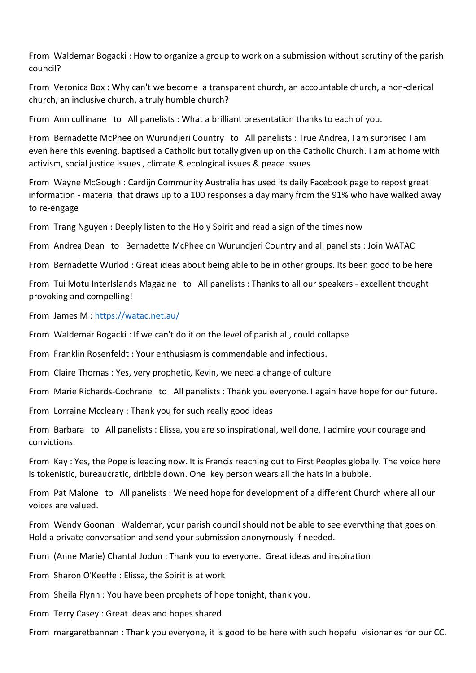From Waldemar Bogacki : How to organize a group to work on a submission without scrutiny of the parish council?

From Veronica Box : Why can't we become a transparent church, an accountable church, a non-clerical church, an inclusive church, a truly humble church?

From Ann cullinane to All panelists : What a brilliant presentation thanks to each of you.

From Bernadette McPhee on Wurundjeri Country to All panelists : True Andrea, I am surprised I am even here this evening, baptised a Catholic but totally given up on the Catholic Church. I am at home with activism, social justice issues , climate & ecological issues & peace issues

From Wayne McGough : Cardijn Community Australia has used its daily Facebook page to repost great information - material that draws up to a 100 responses a day many from the 91% who have walked away to re-engage

From Trang Nguyen : Deeply listen to the Holy Spirit and read a sign of the times now

From Andrea Dean to Bernadette McPhee on Wurundjeri Country and all panelists : Join WATAC

From Bernadette Wurlod : Great ideas about being able to be in other groups. Its been good to be here

From Tui Motu InterIslands Magazine to All panelists : Thanks to all our speakers - excellent thought provoking and compelling!

From James M :<https://watac.net.au/>

From Waldemar Bogacki : If we can't do it on the level of parish all, could collapse

From Franklin Rosenfeldt : Your enthusiasm is commendable and infectious.

From Claire Thomas : Yes, very prophetic, Kevin, we need a change of culture

From Marie Richards-Cochrane to All panelists : Thank you everyone. I again have hope for our future.

From Lorraine Mccleary : Thank you for such really good ideas

From Barbara to All panelists : Elissa, you are so inspirational, well done. I admire your courage and convictions.

From Kay : Yes, the Pope is leading now. It is Francis reaching out to First Peoples globally. The voice here is tokenistic, bureaucratic, dribble down. One key person wears all the hats in a bubble.

From Pat Malone to All panelists : We need hope for development of a different Church where all our voices are valued.

From Wendy Goonan : Waldemar, your parish council should not be able to see everything that goes on! Hold a private conversation and send your submission anonymously if needed.

From (Anne Marie) Chantal Jodun : Thank you to everyone. Great ideas and inspiration

From Sharon O'Keeffe : Elissa, the Spirit is at work

From Sheila Flynn : You have been prophets of hope tonight, thank you.

From Terry Casey : Great ideas and hopes shared

From margaretbannan : Thank you everyone, it is good to be here with such hopeful visionaries for our CC.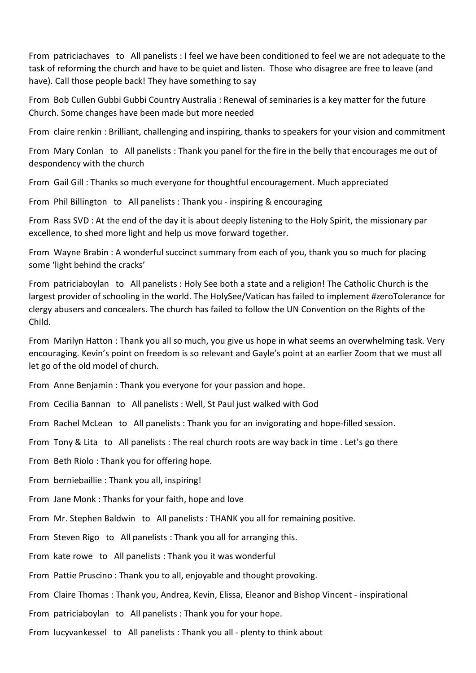From patriciachaves to All panelists : I feel we have been conditioned to feel we are not adequate to the task of reforming the church and have to be quiet and listen. Those who disagree are free to leave (and have). Call those people back! They have something to say

From Bob Cullen Gubbi Gubbi Country Australia : Renewal of seminaries is a key matter for the future Church. Some changes have been made but more needed

From claire renkin : Brilliant, challenging and inspiring, thanks to speakers for your vision and commitment

From Mary Conlan to All panelists : Thank you panel for the fire in the belly that encourages me out of despondency with the church

From Gail Gill : Thanks so much everyone for thoughtful encouragement. Much appreciated

From Phil Billington to All panelists : Thank you - inspiring & encouraging

From Rass SVD : At the end of the day it is about deeply listening to the Holy Spirit, the missionary par excellence, to shed more light and help us move forward together.

From Wayne Brabin : A wonderful succinct summary from each of you, thank you so much for placing some 'light behind the cracks'

From patriciaboylan to All panelists : Holy See both a state and a religion! The Catholic Church is the largest provider of schooling in the world. The HolySee/Vatican has failed to implement #zeroTolerance for clergy abusers and concealers. The church has failed to follow the UN Convention on the Rights of the Child.

From Marilyn Hatton : Thank you all so much, you give us hope in what seems an overwhelming task. Very encouraging. Kevin's point on freedom is so relevant and Gayle's point at an earlier Zoom that we must all let go of the old model of church.

From Anne Benjamin : Thank you everyone for your passion and hope.

From Cecilia Bannan to All panelists : Well, St Paul just walked with God

From Rachel McLean to All panelists : Thank you for an invigorating and hope-filled session.

From Tony & Lita to All panelists : The real church roots are way back in time . Let's go there

From Beth Riolo : Thank you for offering hope.

From berniebaillie : Thank you all, inspiring!

From Jane Monk : Thanks for your faith, hope and love

From Mr. Stephen Baldwin to All panelists : THANK you all for remaining positive.

From Steven Rigo to All panelists : Thank you all for arranging this.

From kate rowe to All panelists : Thank you it was wonderful

From Pattie Pruscino : Thank you to all, enjoyable and thought provoking.

From Claire Thomas : Thank you, Andrea, Kevin, Elissa, Eleanor and Bishop Vincent - inspirational

From patriciaboylan to All panelists : Thank you for your hope.

From lucyvankessel to All panelists : Thank you all - plenty to think about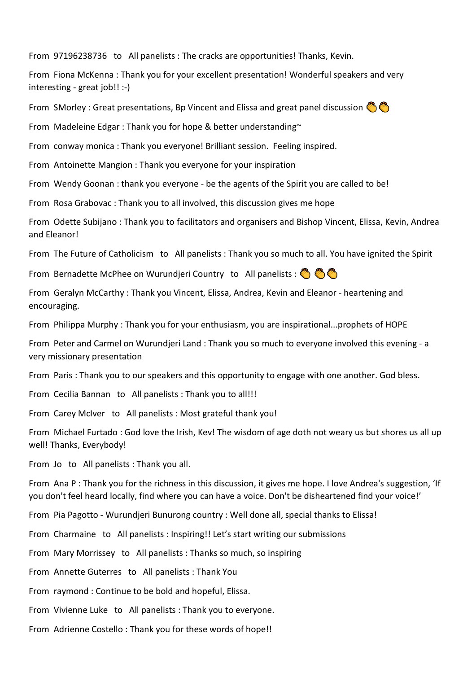From 97196238736 to All panelists : The cracks are opportunities! Thanks, Kevin.

From Fiona McKenna : Thank you for your excellent presentation! Wonderful speakers and very interesting - great job!! :-)

From SMorley : Great presentations, Bp Vincent and Elissa and great panel discussion

From Madeleine Edgar : Thank you for hope & better understanding~

From conway monica : Thank you everyone! Brilliant session. Feeling inspired.

From Antoinette Mangion : Thank you everyone for your inspiration

From Wendy Goonan : thank you everyone - be the agents of the Spirit you are called to be!

From Rosa Grabovac : Thank you to all involved, this discussion gives me hope

From Odette Subijano : Thank you to facilitators and organisers and Bishop Vincent, Elissa, Kevin, Andrea and Eleanor!

From The Future of Catholicism to All panelists : Thank you so much to all. You have ignited the Spirit

From Bernadette McPhee on Wurundjeri Country to All panelists :  $\otimes \otimes \otimes$ 

From Geralyn McCarthy : Thank you Vincent, Elissa, Andrea, Kevin and Eleanor - heartening and encouraging.

From Philippa Murphy : Thank you for your enthusiasm, you are inspirational...prophets of HOPE

From Peter and Carmel on Wurundjeri Land : Thank you so much to everyone involved this evening - a very missionary presentation

From Paris : Thank you to our speakers and this opportunity to engage with one another. God bless.

From Cecilia Bannan to All panelists : Thank you to all!!!

From Carey McIver to All panelists : Most grateful thank you!

From Michael Furtado : God love the Irish, Kev! The wisdom of age doth not weary us but shores us all up well! Thanks, Everybody!

From Jo to All panelists : Thank you all.

From Ana P : Thank you for the richness in this discussion, it gives me hope. I love Andrea's suggestion, 'If you don't feel heard locally, find where you can have a voice. Don't be disheartened find your voice!'

From Pia Pagotto - Wurundjeri Bunurong country : Well done all, special thanks to Elissa!

From Charmaine to All panelists : Inspiring!! Let's start writing our submissions

From Mary Morrissey to All panelists : Thanks so much, so inspiring

From Annette Guterres to All panelists : Thank You

From raymond : Continue to be bold and hopeful, Elissa.

From Vivienne Luke to All panelists : Thank you to everyone.

From Adrienne Costello : Thank you for these words of hope!!